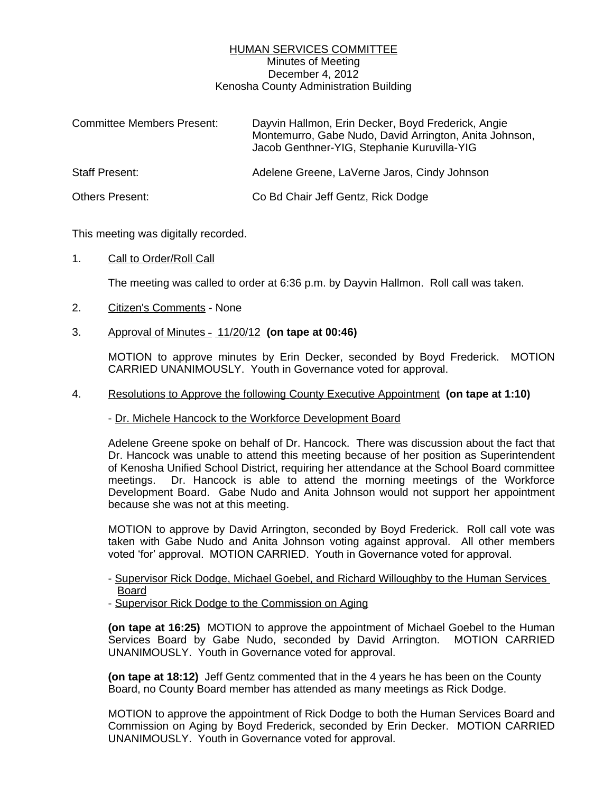## HUMAN SERVICES COMMITTEE Minutes of Meeting December 4, 2012 Kenosha County Administration Building

| <b>Committee Members Present:</b> | Dayvin Hallmon, Erin Decker, Boyd Frederick, Angie<br>Montemurro, Gabe Nudo, David Arrington, Anita Johnson,<br>Jacob Genthner-YIG, Stephanie Kuruvilla-YIG |
|-----------------------------------|-------------------------------------------------------------------------------------------------------------------------------------------------------------|
| <b>Staff Present:</b>             | Adelene Greene, LaVerne Jaros, Cindy Johnson                                                                                                                |
| <b>Others Present:</b>            | Co Bd Chair Jeff Gentz, Rick Dodge                                                                                                                          |

This meeting was digitally recorded.

1. Call to Order/Roll Call

The meeting was called to order at 6:36 p.m. by Dayvin Hallmon. Roll call was taken.

- 2. Citizen's Comments None
- 3. Approval of Minutes 11/20/12 **(on tape at 00:46)**

MOTION to approve minutes by Erin Decker, seconded by Boyd Frederick. MOTION CARRIED UNANIMOUSLY. Youth in Governance voted for approval.

## 4. Resolutions to Approve the following County Executive Appointment **(on tape at 1:10)**

- Dr. Michele Hancock to the Workforce Development Board

Adelene Greene spoke on behalf of Dr. Hancock. There was discussion about the fact that Dr. Hancock was unable to attend this meeting because of her position as Superintendent of Kenosha Unified School District, requiring her attendance at the School Board committee meetings. Dr. Hancock is able to attend the morning meetings of the Workforce Development Board. Gabe Nudo and Anita Johnson would not support her appointment because she was not at this meeting.

MOTION to approve by David Arrington, seconded by Boyd Frederick. Roll call vote was taken with Gabe Nudo and Anita Johnson voting against approval. All other members voted 'for' approval. MOTION CARRIED. Youth in Governance voted for approval.

- Supervisor Rick Dodge, Michael Goebel, and Richard Willoughby to the Human Services Board

- Supervisor Rick Dodge to the Commission on Aging

**(on tape at 16:25)** MOTION to approve the appointment of Michael Goebel to the Human Services Board by Gabe Nudo, seconded by David Arrington. MOTION CARRIED UNANIMOUSLY. Youth in Governance voted for approval.

**(on tape at 18:12)** Jeff Gentz commented that in the 4 years he has been on the County Board, no County Board member has attended as many meetings as Rick Dodge.

MOTION to approve the appointment of Rick Dodge to both the Human Services Board and Commission on Aging by Boyd Frederick, seconded by Erin Decker. MOTION CARRIED UNANIMOUSLY. Youth in Governance voted for approval.